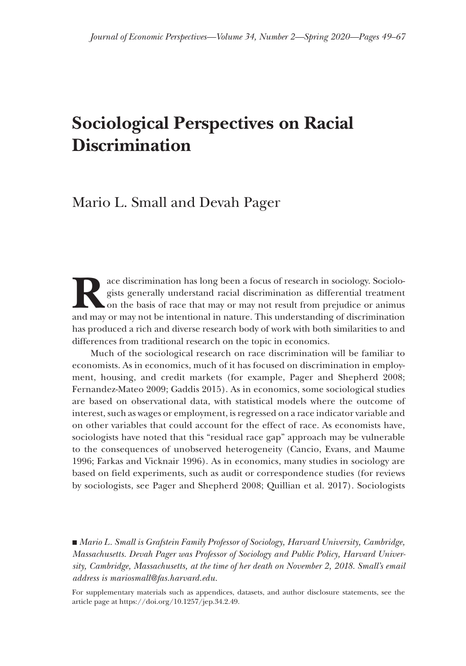# **Sociological Perspectives on Racial Discrimination**

## Mario L. Small and Devah Pager

ace discrimination has long been a focus of research in sociology. Sociologists generally understand racial discrimination as differential treatment on the basis of race that may or may not result from prejudice or animus gists generally understand racial discrimination as differential treatment on the basis of race that may or may not result from prejudice or animus and may or may not be intentional in nature. This understanding of discrimination has produced a rich and diverse research body of work with both similarities to and differences from traditional research on the topic in economics.

Much of the sociological research on race discrimination will be familiar to economists. As in economics, much of it has focused on discrimination in employment, housing, and credit markets (for example, Pager and Shepherd 2008; Fernandez-Mateo 2009; Gaddis 2015). As in economics, some sociological studies are based on observational data, with statistical models where the outcome of interest, such as wages or employment, is regressed on a race indicator variable and on other variables that could account for the effect of race. As economists have, sociologists have noted that this "residual race gap" approach may be vulnerable to the consequences of unobserved heterogeneity (Cancio, Evans, and Maume 1996; Farkas and Vicknair 1996). As in economics, many studies in sociology are based on field experiments, such as audit or correspondence studies (for reviews by sociologists, see Pager and Shepherd 2008; Quillian et al. 2017). Sociologists

■ *Mario L. Small is Grafstein Family Professor of Sociology, Harvard University, Cambridge, Massachusetts. Devah Pager was Professor of Sociology and Public Policy, Harvard University, Cambridge, Massachusetts, at the time of her death on November 2, 2018. Small's email address is [mariosmall@fas.harvard.edu](mailto:mariosmall@fas.harvard.edu).* 

For supplementary materials such as appendices, datasets, and author disclosure statements, see the article page at https://doi.org/10.1257/jep.34.2.49.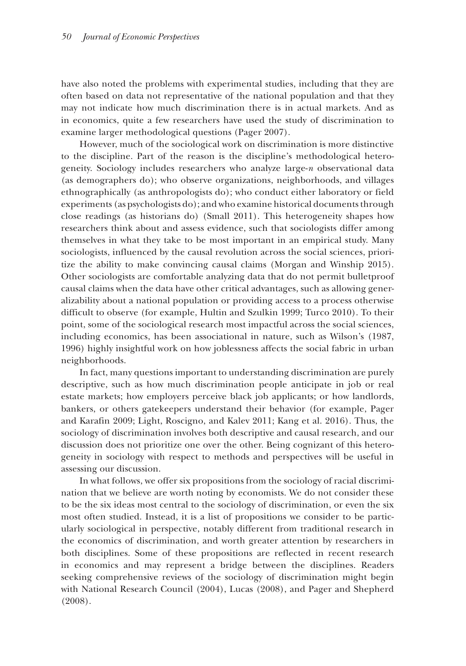have also noted the problems with experimental studies, including that they are often based on data not representative of the national population and that they may not indicate how much discrimination there is in actual markets. And as in economics, quite a few researchers have used the study of discrimination to examine larger methodological questions (Pager 2007).

However, much of the sociological work on discrimination is more distinctive to the discipline. Part of the reason is the discipline's methodological heterogeneity. Sociology includes researchers who analyze large-*n* observational data (as demographers do); who observe organizations, neighborhoods, and villages ethnographically (as anthropologists do); who conduct either laboratory or field experiments (as psychologists do); and who examine historical documents through close readings (as historians do) (Small 2011). This heterogeneity shapes how researchers think about and assess evidence, such that sociologists differ among themselves in what they take to be most important in an empirical study. Many sociologists, influenced by the causal revolution across the social sciences, prioritize the ability to make convincing causal claims (Morgan and Winship 2015). Other sociologists are comfortable analyzing data that do not permit bulletproof causal claims when the data have other critical advantages, such as allowing generalizability about a national population or providing access to a process otherwise difficult to observe (for example, Hultin and Szulkin 1999; Turco 2010). To their point, some of the sociological research most impactful across the social sciences, including economics, has been associational in nature, such as Wilson's (1987, 1996) highly insightful work on how joblessness affects the social fabric in urban neighborhoods.

In fact, many questions important to understanding discrimination are purely descriptive, such as how much discrimination people anticipate in job or real estate markets; how employers perceive black job applicants; or how landlords, bankers, or others gatekeepers understand their behavior (for example, Pager and Karafin 2009; Light, Roscigno, and Kalev 2011; Kang et al. 2016). Thus, the sociology of discrimination involves both descriptive and causal research, and our discussion does not prioritize one over the other. Being cognizant of this heterogeneity in sociology with respect to methods and perspectives will be useful in assessing our discussion.

In what follows, we offer six propositions from the sociology of racial discrimination that we believe are worth noting by economists. We do not consider these to be the six ideas most central to the sociology of discrimination, or even the six most often studied. Instead, it is a list of propositions we consider to be particularly sociological in perspective, notably different from traditional research in the economics of discrimination, and worth greater attention by researchers in both disciplines. Some of these propositions are reflected in recent research in economics and may represent a bridge between the disciplines. Readers seeking comprehensive reviews of the sociology of discrimination might begin with National Research Council (2004), Lucas (2008), and Pager and Shepherd (2008).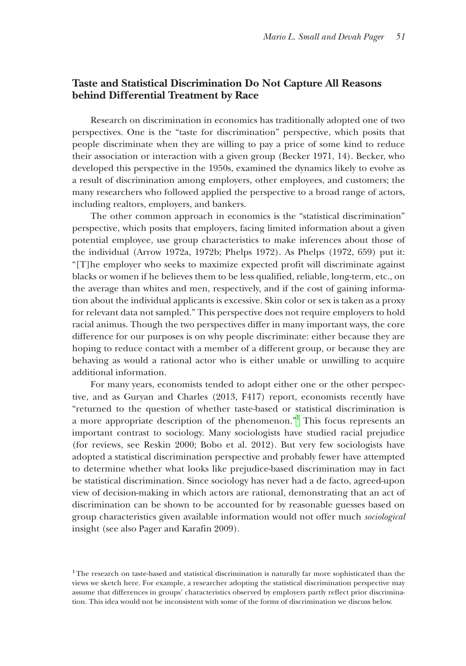### **Taste and Statistical Discrimination Do Not Capture All Reasons behind Differential Treatment by Race**

Research on discrimination in economics has traditionally adopted one of two perspectives. One is the "taste for discrimination" perspective, which posits that people discriminate when they are willing to pay a price of some kind to reduce their association or interaction with a given group (Becker 1971, 14). Becker, who developed this perspective in the 1950s, examined the dynamics likely to evolve as a result of discrimination among employers, other employees, and customers; the many researchers who followed applied the perspective to a broad range of actors, including realtors, employers, and bankers.

The other common approach in economics is the "statistical discrimination" perspective, which posits that employers, facing limited information about a given potential employee, use group characteristics to make inferences about those of the individual (Arrow 1972a, 1972b; Phelps 1972). As Phelps (1972, 659) put it: "[T]he employer who seeks to maximize expected profit will discriminate against blacks or women if he believes them to be less qualified, reliable, long-term, etc., on the average than whites and men, respectively, and if the cost of gaining information about the individual applicants is excessive. Skin color or sex is taken as a proxy for relevant data not sampled." This perspective does not require employers to hold racial animus. Though the two perspectives differ in many important ways, the core difference for our purposes is on why people discriminate: either because they are hoping to reduce contact with a member of a different group, or because they are behaving as would a rational actor who is either unable or unwilling to acquire additional information.

For many years, economists tended to adopt either one or the other perspective, and as Guryan and Charles (2013, F417) report, economists recently have "returned to the question of whether taste-based or statistical discrimination is a more appropriate description of the phenomenon."<sup>1</sup> This focus represents an important contrast to sociology. Many sociologists have studied racial prejudice (for reviews, see Reskin 2000; Bobo et al. 2012). But very few sociologists have adopted a statistical discrimination perspective and probably fewer have attempted to determine whether what looks like prejudice-based discrimination may in fact be statistical discrimination. Since sociology has never had a de facto, agreed-upon view of decision-making in which actors are rational, demonstrating that an act of discrimination can be shown to be accounted for by reasonable guesses based on group characteristics given available information would not offer much *sociological*  insight (see also Pager and Karafin 2009).

<span id="page-2-0"></span><sup>&</sup>lt;sup>1</sup>The research on taste-based and statistical discrimination is naturally far more sophisticated than the views we sketch here. For example, a researcher adopting the statistical discrimination perspective may assume that differences in groups' characteristics observed by employers partly reflect prior discrimination. This idea would not be inconsistent with some of the forms of discrimination we discuss below.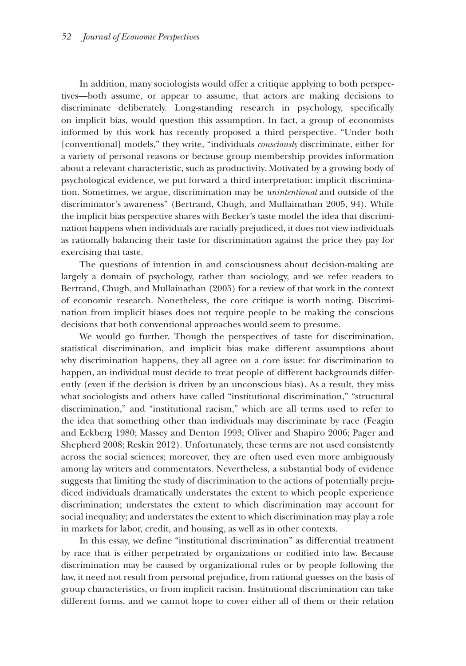In addition, many sociologists would offer a critique applying to both perspectives—both assume, or appear to assume, that actors are making decisions to discriminate deliberately. Long-standing research in psychology, specifically on implicit bias, would question this assumption. In fact, a group of economists informed by this work has recently proposed a third perspective. "Under both [conventional] models," they write, "individuals *consciously* discriminate, either for a variety of personal reasons or because group membership provides information about a relevant characteristic, such as productivity. Motivated by a growing body of psychological evidence, we put forward a third interpretation: implicit discrimination. Sometimes, we argue, discrimination may be *unintentional* and outside of the discriminator's awareness" (Bertrand, Chugh, and Mullainathan 2005, 94). While the implicit bias perspective shares with Becker's taste model the idea that discrimination happens when individuals are racially prejudiced, it does not view individuals as rationally balancing their taste for discrimination against the price they pay for exercising that taste.

The questions of intention in and consciousness about decision-making are largely a domain of psychology, rather than sociology, and we refer readers to Bertrand, Chugh, and Mullainathan (2005) for a review of that work in the context of economic research. Nonetheless, the core critique is worth noting. Discrimination from implicit biases does not require people to be making the conscious decisions that both conventional approaches would seem to presume.

We would go further. Though the perspectives of taste for discrimination, statistical discrimination, and implicit bias make different assumptions about why discrimination happens, they all agree on a core issue: for discrimination to happen, an individual must decide to treat people of different backgrounds differently (even if the decision is driven by an unconscious bias). As a result, they miss what sociologists and others have called "institutional discrimination," "structural discrimination," and "institutional racism," which are all terms used to refer to the idea that something other than individuals may discriminate by race (Feagin and Eckberg 1980; Massey and Denton 1993; Oliver and Shapiro 2006; Pager and Shepherd 2008; Reskin 2012). Unfortunately, these terms are not used consistently across the social sciences; moreover, they are often used even more ambiguously among lay writers and commentators. Nevertheless, a substantial body of evidence suggests that limiting the study of discrimination to the actions of potentially prejudiced individuals dramatically understates the extent to which people experience discrimination; understates the extent to which discrimination may account for social inequality; and understates the extent to which discrimination may play a role in markets for labor, credit, and housing, as well as in other contexts.

In this essay, we define "institutional discrimination" as differential treatment by race that is either perpetrated by organizations or codified into law. Because discrimination may be caused by organizational rules or by people following the law, it need not result from personal prejudice, from rational guesses on the basis of group characteristics, or from implicit racism. Institutional discrimination can take different forms, and we cannot hope to cover either all of them or their relation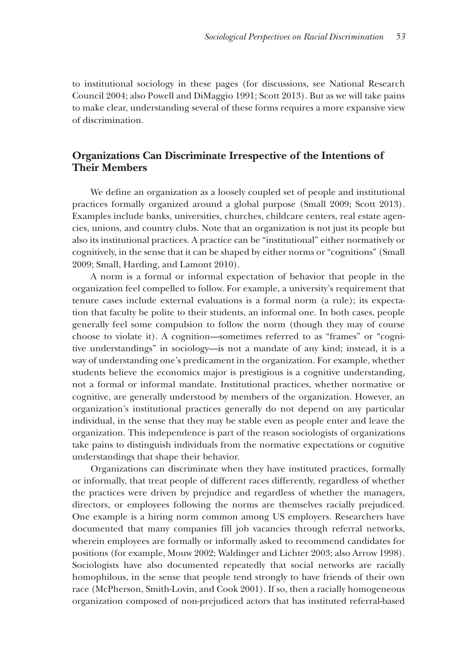to institutional sociology in these pages (for discussions, see National Research Council 2004; also Powell and DiMaggio 1991; Scott 2013). But as we will take pains to make clear, understanding several of these forms requires a more expansive view of discrimination.

### **Organizations Can Discriminate Irrespective of the Intentions of Their Members**

We define an organization as a loosely coupled set of people and institutional practices formally organized around a global purpose (Small 2009; Scott 2013). Examples include banks, universities, churches, childcare centers, real estate agencies, unions, and country clubs. Note that an organization is not just its people but also its institutional practices. A practice can be "institutional" either normatively or cognitively, in the sense that it can be shaped by either norms or "cognitions" (Small 2009; Small, Harding, and Lamont 2010).

A norm is a formal or informal expectation of behavior that people in the organization feel compelled to follow. For example, a university's requirement that tenure cases include external evaluations is a formal norm (a rule); its expectation that faculty be polite to their students, an informal one. In both cases, people generally feel some compulsion to follow the norm (though they may of course choose to violate it). A cognition—sometimes referred to as "frames" or "cognitive understandings" in sociology—is not a mandate of any kind; instead, it is a way of understanding one's predicament in the organization. For example, whether students believe the economics major is prestigious is a cognitive understanding, not a formal or informal mandate. Institutional practices, whether normative or cognitive, are generally understood by members of the organization. However, an organization's institutional practices generally do not depend on any particular individual, in the sense that they may be stable even as people enter and leave the organization. This independence is part of the reason sociologists of organizations take pains to distinguish individuals from the normative expectations or cognitive understandings that shape their behavior.

Organizations can discriminate when they have instituted practices, formally or informally, that treat people of different races differently, regardless of whether the practices were driven by prejudice and regardless of whether the managers, directors, or employees following the norms are themselves racially prejudiced. One example is a hiring norm common among US employers. Researchers have documented that many companies fill job vacancies through referral networks, wherein employees are formally or informally asked to recommend candidates for positions (for example, Mouw 2002; Waldinger and Lichter 2003; also Arrow 1998). Sociologists have also documented repeatedly that social networks are racially homophilous, in the sense that people tend strongly to have friends of their own race (McPherson, Smith-Lovin, and Cook 2001). If so, then a racially homogeneous organization composed of non-prejudiced actors that has instituted referral-based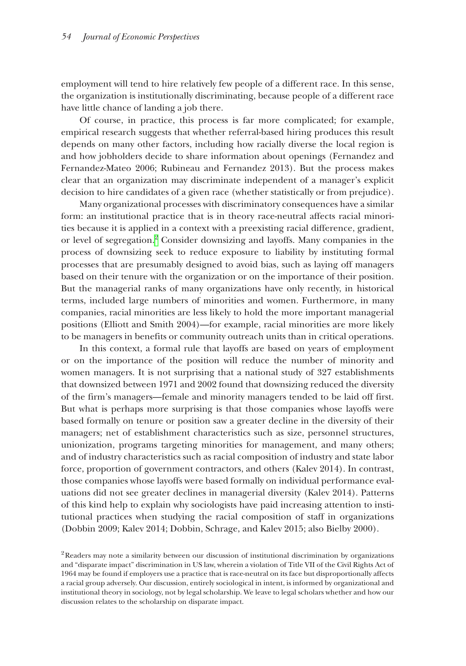employment will tend to hire relatively few people of a different race. In this sense, the organization is institutionally discriminating, because people of a different race have little chance of landing a job there.

Of course, in practice, this process is far more complicated; for example, empirical research suggests that whether referral-based hiring produces this result depends on many other factors, including how racially diverse the local region is and how jobholders decide to share information about openings (Fernandez and Fernandez-Mateo 2006; Rubineau and Fernandez 2013). But the process makes clear that an organization may discriminate independent of a manager's explicit decision to hire candidates of a given race (whether statistically or from prejudice).

Many organizational processes with discriminatory consequences have a similar form: an institutional practice that is in theory race-neutral affects racial minorities because it is applied in a context with a preexisting racial difference, gradient, or level of segregation.<sup>[2](#page-5-0)</sup> Consider downsizing and layoffs. Many companies in the process of downsizing seek to reduce exposure to liability by instituting formal processes that are presumably designed to avoid bias, such as laying off managers based on their tenure with the organization or on the importance of their position. But the managerial ranks of many organizations have only recently, in historical terms, included large numbers of minorities and women. Furthermore, in many companies, racial minorities are less likely to hold the more important managerial positions (Elliott and Smith 2004)—for example, racial minorities are more likely to be managers in benefits or community outreach units than in critical operations.

In this context, a formal rule that layoffs are based on years of employment or on the importance of the position will reduce the number of minority and women managers. It is not surprising that a national study of 327 establishments that downsized between 1971 and 2002 found that downsizing reduced the diversity of the firm's managers—female and minority managers tended to be laid off first. But what is perhaps more surprising is that those companies whose layoffs were based formally on tenure or position saw a greater decline in the diversity of their managers; net of establishment characteristics such as size, personnel structures, unionization, programs targeting minorities for management, and many others; and of industry characteristics such as racial composition of industry and state labor force, proportion of government contractors, and others (Kalev 2014). In contrast, those companies whose layoffs were based formally on individual performance evaluations did not see greater declines in managerial diversity (Kalev 2014). Patterns of this kind help to explain why sociologists have paid increasing attention to institutional practices when studying the racial composition of staff in organizations (Dobbin 2009; Kalev 2014; Dobbin, Schrage, and Kalev 2015; also Bielby 2000).

<span id="page-5-0"></span><sup>&</sup>lt;sup>2</sup>Readers may note a similarity between our discussion of institutional discrimination by organizations and "disparate impact" discrimination in US law, wherein a violation of Title VII of the Civil Rights Act of 1964 may be found if employers use a practice that is race-neutral on its face but disproportionally affects a racial group adversely. Our discussion, entirely sociological in intent, is informed by organizational and institutional theory in sociology, not by legal scholarship. We leave to legal scholars whether and how our discussion relates to the scholarship on disparate impact.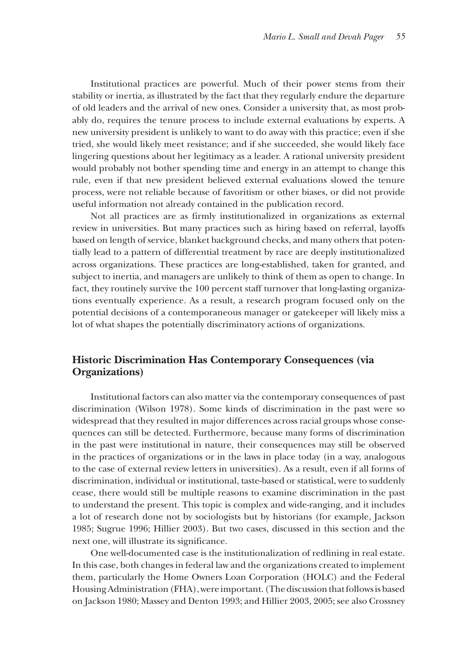Institutional practices are powerful. Much of their power stems from their stability or inertia, as illustrated by the fact that they regularly endure the departure of old leaders and the arrival of new ones. Consider a university that, as most probably do, requires the tenure process to include external evaluations by experts. A new university president is unlikely to want to do away with this practice; even if she tried, she would likely meet resistance; and if she succeeded, she would likely face lingering questions about her legitimacy as a leader. A rational university president would probably not bother spending time and energy in an attempt to change this rule, even if that new president believed external evaluations slowed the tenure process, were not reliable because of favoritism or other biases, or did not provide useful information not already contained in the publication record.

Not all practices are as firmly institutionalized in organizations as external review in universities. But many practices such as hiring based on referral, layoffs based on length of service, blanket background checks, and many others that potentially lead to a pattern of differential treatment by race are deeply institutionalized across organizations. These practices are long-established, taken for granted, and subject to inertia, and managers are unlikely to think of them as open to change. In fact, they routinely survive the 100 percent staff turnover that long-lasting organizations eventually experience. As a result, a research program focused only on the potential decisions of a contemporaneous manager or gatekeeper will likely miss a lot of what shapes the potentially discriminatory actions of organizations.

#### **Historic Discrimination Has Contemporary Consequences (via Organizations)**

Institutional factors can also matter via the contemporary consequences of past discrimination (Wilson 1978). Some kinds of discrimination in the past were so widespread that they resulted in major differences across racial groups whose consequences can still be detected. Furthermore, because many forms of discrimination in the past were institutional in nature, their consequences may still be observed in the practices of organizations or in the laws in place today (in a way, analogous to the case of external review letters in universities). As a result, even if all forms of discrimination, individual or institutional, taste-based or statistical, were to suddenly cease, there would still be multiple reasons to examine discrimination in the past to understand the present. This topic is complex and wide-ranging, and it includes a lot of research done not by sociologists but by historians (for example, Jackson 1985; Sugrue 1996; Hillier 2003). But two cases, discussed in this section and the next one, will illustrate its significance.

One well-documented case is the institutionalization of redlining in real estate. In this case, both changes in federal law and the organizations created to implement them, particularly the Home Owners Loan Corporation (HOLC) and the Federal Housing Administration (FHA), were important. (The discussion that follows is based on Jackson 1980; Massey and Denton 1993; and Hillier 2003, 2005; see also Crossney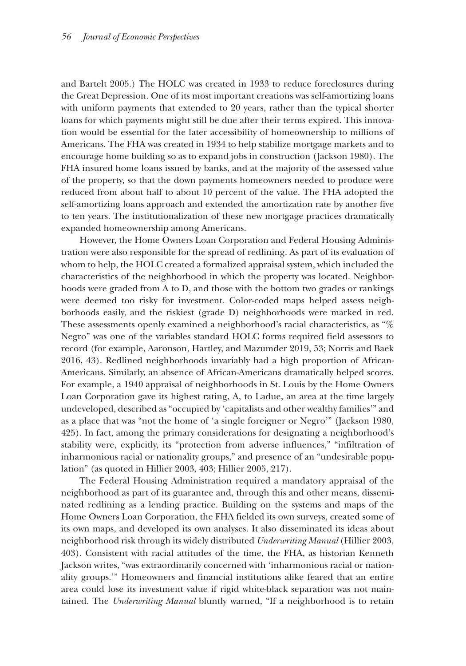and Bartelt 2005.) The HOLC was created in 1933 to reduce foreclosures during the Great Depression. One of its most important creations was self-amortizing loans with uniform payments that extended to 20 years, rather than the typical shorter loans for which payments might still be due after their terms expired. This innovation would be essential for the later accessibility of homeownership to millions of Americans. The FHA was created in 1934 to help stabilize mortgage markets and to encourage home building so as to expand jobs in construction (Jackson 1980). The FHA insured home loans issued by banks, and at the majority of the assessed value of the property, so that the down payments homeowners needed to produce were reduced from about half to about 10 percent of the value. The FHA adopted the self-amortizing loans approach and extended the amortization rate by another five to ten years. The institutionalization of these new mortgage practices dramatically expanded homeownership among Americans.

However, the Home Owners Loan Corporation and Federal Housing Administration were also responsible for the spread of redlining. As part of its evaluation of whom to help, the HOLC created a formalized appraisal system, which included the characteristics of the neighborhood in which the property was located. Neighborhoods were graded from A to D, and those with the bottom two grades or rankings were deemed too risky for investment. Color-coded maps helped assess neighborhoods easily, and the riskiest (grade D) neighborhoods were marked in red. These assessments openly examined a neighborhood's racial characteristics, as "% Negro" was one of the variables standard HOLC forms required field assessors to record (for example, Aaronson, Hartley, and Mazumder 2019, 53; Norris and Baek 2016, 43). Redlined neighborhoods invariably had a high proportion of African-Americans. Similarly, an absence of African-Americans dramatically helped scores. For example, a 1940 appraisal of neighborhoods in St. Louis by the Home Owners Loan Corporation gave its highest rating, A, to Ladue, an area at the time largely undeveloped, described as "occupied by 'capitalists and other wealthy families'" and as a place that was "not the home of 'a single foreigner or Negro'" (Jackson 1980, 425). In fact, among the primary considerations for designating a neighborhood's stability were, explicitly, its "protection from adverse influences," "infiltration of inharmonious racial or nationality groups," and presence of an "undesirable population" (as quoted in Hillier 2003, 403; Hillier 2005, 217).

The Federal Housing Administration required a mandatory appraisal of the neighborhood as part of its guarantee and, through this and other means, disseminated redlining as a lending practice. Building on the systems and maps of the Home Owners Loan Corporation, the FHA fielded its own surveys, created some of its own maps, and developed its own analyses. It also disseminated its ideas about neighborhood risk through its widely distributed *Underwriting Manual* (Hillier 2003, 403). Consistent with racial attitudes of the time, the FHA, as historian Kenneth Jackson writes, "was extraordinarily concerned with 'inharmonious racial or nationality groups.'" Homeowners and financial institutions alike feared that an entire area could lose its investment value if rigid white-black separation was not maintained. The *Underwriting Manual* bluntly warned, "If a neighborhood is to retain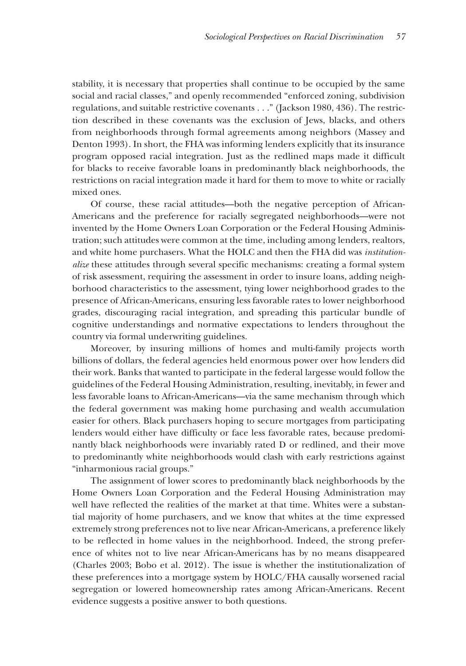stability, it is necessary that properties shall continue to be occupied by the same social and racial classes," and openly recommended "enforced zoning, subdivision regulations, and suitable restrictive covenants . . ." (Jackson 1980, 436). The restriction described in these covenants was the exclusion of Jews, blacks, and others from neighborhoods through formal agreements among neighbors (Massey and Denton 1993). In short, the FHA was informing lenders explicitly that its insurance program opposed racial integration. Just as the redlined maps made it difficult for blacks to receive favorable loans in predominantly black neighborhoods, the restrictions on racial integration made it hard for them to move to white or racially mixed ones.

Of course, these racial attitudes—both the negative perception of African-Americans and the preference for racially segregated neighborhoods—were not invented by the Home Owners Loan Corporation or the Federal Housing Administration; such attitudes were common at the time, including among lenders, realtors, and white home purchasers. What the HOLC and then the FHA did was *institutionalize* these attitudes through several specific mechanisms: creating a formal system of risk assessment, requiring the assessment in order to insure loans, adding neighborhood characteristics to the assessment, tying lower neighborhood grades to the presence of African-Americans, ensuring less favorable rates to lower neighborhood grades, discouraging racial integration, and spreading this particular bundle of cognitive understandings and normative expectations to lenders throughout the country via formal underwriting guidelines.

Moreover, by insuring millions of homes and multi-family projects worth billions of dollars, the federal agencies held enormous power over how lenders did their work. Banks that wanted to participate in the federal largesse would follow the guidelines of the Federal Housing Administration, resulting, inevitably, in fewer and less favorable loans to African-Americans—via the same mechanism through which the federal government was making home purchasing and wealth accumulation easier for others. Black purchasers hoping to secure mortgages from participating lenders would either have difficulty or face less favorable rates, because predominantly black neighborhoods were invariably rated D or redlined, and their move to predominantly white neighborhoods would clash with early restrictions against "inharmonious racial groups."

The assignment of lower scores to predominantly black neighborhoods by the Home Owners Loan Corporation and the Federal Housing Administration may well have reflected the realities of the market at that time. Whites were a substantial majority of home purchasers, and we know that whites at the time expressed extremely strong preferences not to live near African-Americans, a preference likely to be reflected in home values in the neighborhood. Indeed, the strong preference of whites not to live near African-Americans has by no means disappeared (Charles 2003; Bobo et al. 2012). The issue is whether the institutionalization of these preferences into a mortgage system by HOLC/FHA causally worsened racial segregation or lowered homeownership rates among African-Americans. Recent evidence suggests a positive answer to both questions.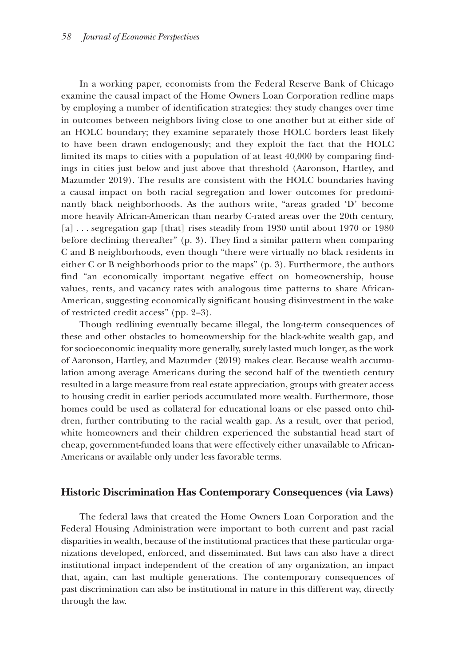In a working paper, economists from the Federal Reserve Bank of Chicago examine the causal impact of the Home Owners Loan Corporation redline maps by employing a number of identification strategies: they study changes over time in outcomes between neighbors living close to one another but at either side of an HOLC boundary; they examine separately those HOLC borders least likely to have been drawn endogenously; and they exploit the fact that the HOLC limited its maps to cities with a population of at least 40,000 by comparing findings in cities just below and just above that threshold (Aaronson, Hartley, and Mazumder 2019). The results are consistent with the HOLC boundaries having a causal impact on both racial segregation and lower outcomes for predominantly black neighborhoods. As the authors write, "areas graded 'D' become more heavily African-American than nearby C-rated areas over the 20th century, [a] . . . segregation gap [that] rises steadily from 1930 until about 1970 or 1980 before declining thereafter" (p. 3). They find a similar pattern when comparing C and B neighborhoods, even though "there were virtually no black residents in either C or B neighborhoods prior to the maps" (p. 3). Furthermore, the authors find "an economically important negative effect on homeownership, house values, rents, and vacancy rates with analogous time patterns to share African-American, suggesting economically significant housing disinvestment in the wake of restricted credit access" (pp. 2–3).

Though redlining eventually became illegal, the long-term consequences of these and other obstacles to homeownership for the black-white wealth gap, and for socioeconomic inequality more generally, surely lasted much longer, as the work of Aaronson, Hartley, and Mazumder (2019) makes clear. Because wealth accumulation among average Americans during the second half of the twentieth century resulted in a large measure from real estate appreciation, groups with greater access to housing credit in earlier periods accumulated more wealth. Furthermore, those homes could be used as collateral for educational loans or else passed onto children, further contributing to the racial wealth gap. As a result, over that period, white homeowners and their children experienced the substantial head start of cheap, government-funded loans that were effectively either unavailable to African-Americans or available only under less favorable terms.

#### **Historic Discrimination Has Contemporary Consequences (via Laws)**

The federal laws that created the Home Owners Loan Corporation and the Federal Housing Administration were important to both current and past racial disparities in wealth, because of the institutional practices that these particular organizations developed, enforced, and disseminated. But laws can also have a direct institutional impact independent of the creation of any organization, an impact that, again, can last multiple generations. The contemporary consequences of past discrimination can also be institutional in nature in this different way, directly through the law.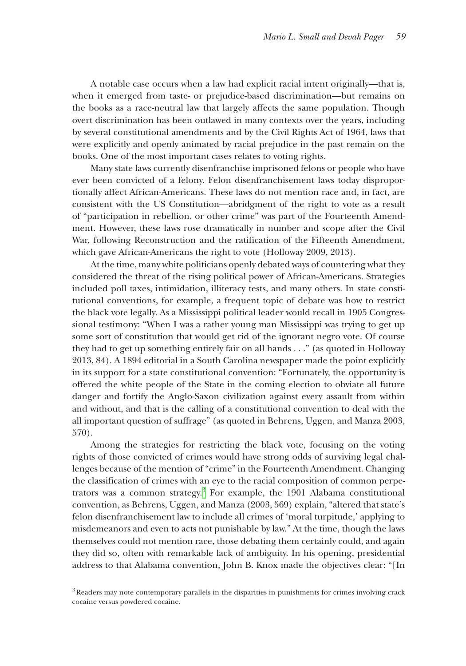A notable case occurs when a law had explicit racial intent originally—that is, when it emerged from taste- or prejudice-based discrimination—but remains on the books as a race-neutral law that largely affects the same population. Though overt discrimination has been outlawed in many contexts over the years, including by several constitutional amendments and by the Civil Rights Act of 1964, laws that were explicitly and openly animated by racial prejudice in the past remain on the books. One of the most important cases relates to voting rights.

Many state laws currently disenfranchise imprisoned felons or people who have ever been convicted of a felony. Felon disenfranchisement laws today disproportionally affect African-Americans. These laws do not mention race and, in fact, are consistent with the US Constitution—abridgment of the right to vote as a result of "participation in rebellion, or other crime" was part of the Fourteenth Amendment. However, these laws rose dramatically in number and scope after the Civil War, following Reconstruction and the ratification of the Fifteenth Amendment, which gave African-Americans the right to vote (Holloway 2009, 2013).

At the time, many white politicians openly debated ways of countering what they considered the threat of the rising political power of African-Americans. Strategies included poll taxes, intimidation, illiteracy tests, and many others. In state constitutional conventions, for example, a frequent topic of debate was how to restrict the black vote legally. As a Mississippi political leader would recall in 1905 Congressional testimony: "When I was a rather young man Mississippi was trying to get up some sort of constitution that would get rid of the ignorant negro vote. Of course they had to get up something entirely fair on all hands . . ." (as quoted in Holloway 2013, 84). A 1894 editorial in a South Carolina newspaper made the point explicitly in its support for a state constitutional convention: "Fortunately, the opportunity is offered the white people of the State in the coming election to obviate all future danger and fortify the Anglo-Saxon civilization against every assault from within and without, and that is the calling of a constitutional convention to deal with the all important question of suffrage" (as quoted in Behrens, Uggen, and Manza 2003, 570).

Among the strategies for restricting the black vote, focusing on the voting rights of those convicted of crimes would have strong odds of surviving legal challenges because of the mention of "crime" in the Fourteenth Amendment. Changing the classification of crimes with an eye to the racial composition of common perpe-trators was a common strategy.<sup>[3](#page-10-0)</sup> For example, the 1901 Alabama constitutional convention, as Behrens, Uggen, and Manza (2003, 569) explain, "altered that state's felon disenfranchisement law to include all crimes of 'moral turpitude,' applying to misdemeanors and even to acts not punishable by law." At the time, though the laws themselves could not mention race, those debating them certainly could, and again they did so, often with remarkable lack of ambiguity. In his opening, presidential address to that Alabama convention, John B. Knox made the objectives clear: "[In

<span id="page-10-0"></span><sup>3</sup>Readers may note contemporary parallels in the disparities in punishments for crimes involving crack cocaine versus powdered cocaine.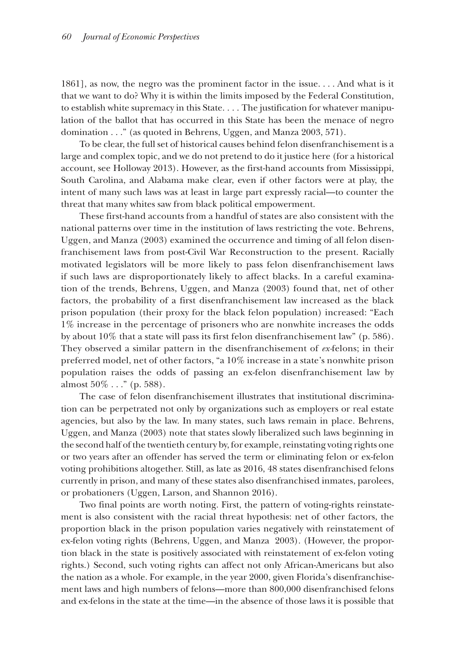1861], as now, the negro was the prominent factor in the issue. . . . And what is it that we want to do? Why it is within the limits imposed by the Federal Constitution, to establish white supremacy in this State. . . . The justification for whatever manipulation of the ballot that has occurred in this State has been the menace of negro domination . . ." (as quoted in Behrens, Uggen, and Manza 2003, 571).

To be clear, the full set of historical causes behind felon disenfranchisement is a large and complex topic, and we do not pretend to do it justice here (for a historical account, see Holloway 2013). However, as the first-hand accounts from Mississippi, South Carolina, and Alabama make clear, even if other factors were at play, the intent of many such laws was at least in large part expressly racial—to counter the threat that many whites saw from black political empowerment.

These first-hand accounts from a handful of states are also consistent with the national patterns over time in the institution of laws restricting the vote. Behrens, Uggen, and Manza (2003) examined the occurrence and timing of all felon disenfranchisement laws from post-Civil War Reconstruction to the present. Racially motivated legislators will be more likely to pass felon disenfranchisement laws if such laws are disproportionately likely to affect blacks. In a careful examination of the trends, Behrens, Uggen, and Manza (2003) found that, net of other factors, the probability of a first disenfranchisement law increased as the black prison population (their proxy for the black felon population) increased: "Each 1% increase in the percentage of prisoners who are nonwhite increases the odds by about 10% that a state will pass its first felon disenfranchisement law" (p. 586). They observed a similar pattern in the disenfranchisement of *ex-*felons; in their preferred model, net of other factors, "a 10% increase in a state's nonwhite prison population raises the odds of passing an ex-felon disenfranchisement law by almost  $50\%$  . . ." (p. 588).

The case of felon disenfranchisement illustrates that institutional discrimination can be perpetrated not only by organizations such as employers or real estate agencies, but also by the law. In many states, such laws remain in place. Behrens, Uggen, and Manza (2003) note that states slowly liberalized such laws beginning in the second half of the twentieth century by, for example, reinstating voting rights one or two years after an offender has served the term or eliminating felon or ex-felon voting prohibitions altogether. Still, as late as 2016, 48 states disenfranchised felons currently in prison, and many of these states also disenfranchised inmates, parolees, or probationers (Uggen, Larson, and Shannon 2016).

Two final points are worth noting. First, the pattern of voting-rights reinstatement is also consistent with the racial threat hypothesis: net of other factors, the proportion black in the prison population varies negatively with reinstatement of ex-felon voting rights (Behrens, Uggen, and Manza 2003). (However, the proportion black in the state is positively associated with reinstatement of ex-felon voting rights.) Second, such voting rights can affect not only African-Americans but also the nation as a whole. For example, in the year 2000, given Florida's disenfranchisement laws and high numbers of felons—more than 800,000 disenfranchised felons and ex-felons in the state at the time—in the absence of those laws it is possible that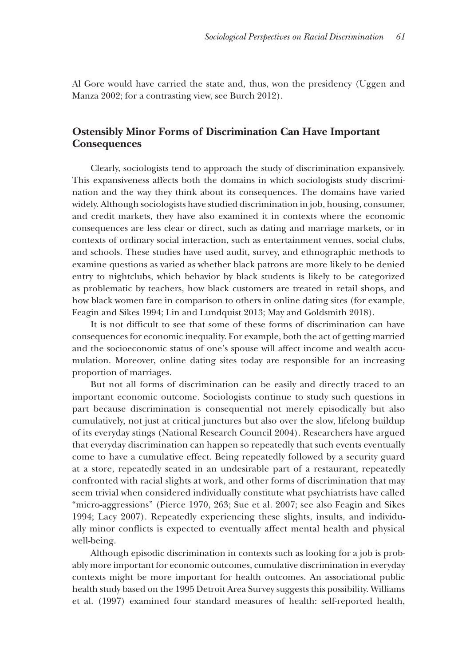Al Gore would have carried the state and, thus, won the presidency (Uggen and Manza 2002; for a contrasting view, see Burch 2012).

#### **Ostensibly Minor Forms of Discrimination Can Have Important Consequences**

Clearly, sociologists tend to approach the study of discrimination expansively. This expansiveness affects both the domains in which sociologists study discrimination and the way they think about its consequences. The domains have varied widely. Although sociologists have studied discrimination in job, housing, consumer, and credit markets, they have also examined it in contexts where the economic consequences are less clear or direct, such as dating and marriage markets, or in contexts of ordinary social interaction, such as entertainment venues, social clubs, and schools. These studies have used audit, survey, and ethnographic methods to examine questions as varied as whether black patrons are more likely to be denied entry to nightclubs, which behavior by black students is likely to be categorized as problematic by teachers, how black customers are treated in retail shops, and how black women fare in comparison to others in online dating sites (for example, Feagin and Sikes 1994; Lin and Lundquist 2013; May and Goldsmith 2018).

It is not difficult to see that some of these forms of discrimination can have consequences for economic inequality. For example, both the act of getting married and the socioeconomic status of one's spouse will affect income and wealth accumulation. Moreover, online dating sites today are responsible for an increasing proportion of marriages.

But not all forms of discrimination can be easily and directly traced to an important economic outcome. Sociologists continue to study such questions in part because discrimination is consequential not merely episodically but also cumulatively, not just at critical junctures but also over the slow, lifelong buildup of its everyday stings (National Research Council 2004). Researchers have argued that everyday discrimination can happen so repeatedly that such events eventually come to have a cumulative effect. Being repeatedly followed by a security guard at a store, repeatedly seated in an undesirable part of a restaurant, repeatedly confronted with racial slights at work, and other forms of discrimination that may seem trivial when considered individually constitute what psychiatrists have called "micro-aggressions" (Pierce 1970, 263; Sue et al. 2007; see also Feagin and Sikes 1994; Lacy 2007). Repeatedly experiencing these slights, insults, and individually minor conflicts is expected to eventually affect mental health and physical well-being.

Although episodic discrimination in contexts such as looking for a job is probably more important for economic outcomes, cumulative discrimination in everyday contexts might be more important for health outcomes. An associational public health study based on the 1995 Detroit Area Survey suggests this possibility. Williams et al. (1997) examined four standard measures of health: self-reported health,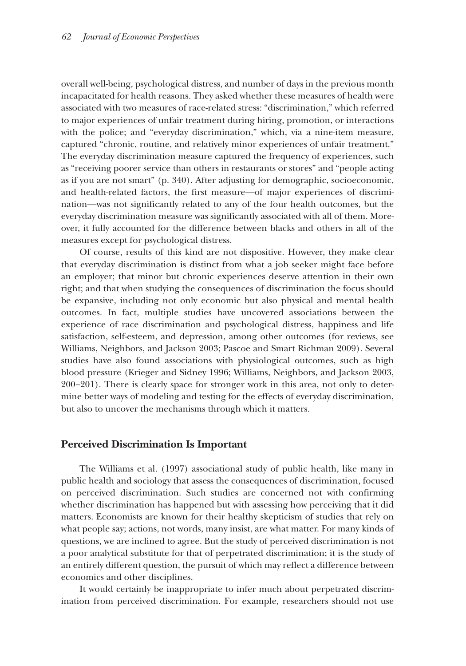overall well-being, psychological distress, and number of days in the previous month incapacitated for health reasons. They asked whether these measures of health were associated with two measures of race-related stress: "discrimination," which referred to major experiences of unfair treatment during hiring, promotion, or interactions with the police; and "everyday discrimination," which, via a nine-item measure, captured "chronic, routine, and relatively minor experiences of unfair treatment." The everyday discrimination measure captured the frequency of experiences, such as "receiving poorer service than others in restaurants or stores" and "people acting as if you are not smart" (p. 340). After adjusting for demographic, socioeconomic, and health-related factors, the first measure—of major experiences of discrimination—was not significantly related to any of the four health outcomes, but the everyday discrimination measure was significantly associated with all of them. Moreover, it fully accounted for the difference between blacks and others in all of the measures except for psychological distress.

Of course, results of this kind are not dispositive. However, they make clear that everyday discrimination is distinct from what a job seeker might face before an employer; that minor but chronic experiences deserve attention in their own right; and that when studying the consequences of discrimination the focus should be expansive, including not only economic but also physical and mental health outcomes. In fact, multiple studies have uncovered associations between the experience of race discrimination and psychological distress, happiness and life satisfaction, self-esteem, and depression, among other outcomes (for reviews, see Williams, Neighbors, and Jackson 2003; Pascoe and Smart Richman 2009). Several studies have also found associations with physiological outcomes, such as high blood pressure (Krieger and Sidney 1996; Williams, Neighbors, and Jackson 2003, 200−201). There is clearly space for stronger work in this area, not only to determine better ways of modeling and testing for the effects of everyday discrimination, but also to uncover the mechanisms through which it matters.

#### **Perceived Discrimination Is Important**

The Williams et al. (1997) associational study of public health, like many in public health and sociology that assess the consequences of discrimination, focused on perceived discrimination. Such studies are concerned not with confirming whether discrimination has happened but with assessing how perceiving that it did matters. Economists are known for their healthy skepticism of studies that rely on what people say; actions, not words, many insist, are what matter. For many kinds of questions, we are inclined to agree. But the study of perceived discrimination is not a poor analytical substitute for that of perpetrated discrimination; it is the study of an entirely different question, the pursuit of which may reflect a difference between economics and other disciplines.

It would certainly be inappropriate to infer much about perpetrated discrimination from perceived discrimination. For example, researchers should not use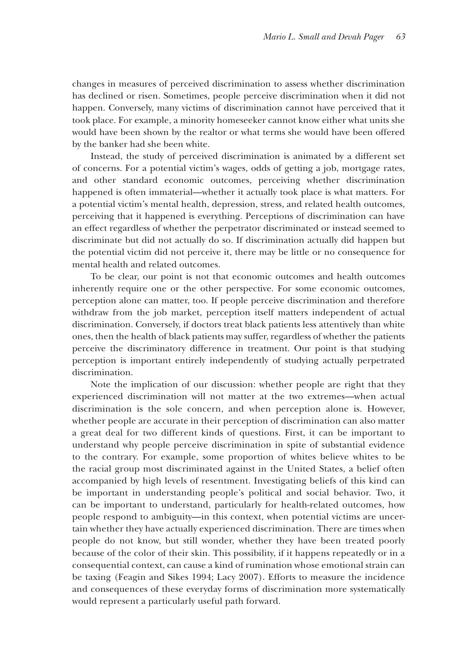changes in measures of perceived discrimination to assess whether discrimination has declined or risen. Sometimes, people perceive discrimination when it did not happen. Conversely, many victims of discrimination cannot have perceived that it took place. For example, a minority homeseeker cannot know either what units she would have been shown by the realtor or what terms she would have been offered by the banker had she been white.

Instead, the study of perceived discrimination is animated by a different set of concerns. For a potential victim's wages, odds of getting a job, mortgage rates, and other standard economic outcomes, perceiving whether discrimination happened is often immaterial—whether it actually took place is what matters. For a potential victim's mental health, depression, stress, and related health outcomes, perceiving that it happened is everything. Perceptions of discrimination can have an effect regardless of whether the perpetrator discriminated or instead seemed to discriminate but did not actually do so. If discrimination actually did happen but the potential victim did not perceive it, there may be little or no consequence for mental health and related outcomes.

To be clear, our point is not that economic outcomes and health outcomes inherently require one or the other perspective. For some economic outcomes, perception alone can matter, too. If people perceive discrimination and therefore withdraw from the job market, perception itself matters independent of actual discrimination. Conversely, if doctors treat black patients less attentively than white ones, then the health of black patients may suffer, regardless of whether the patients perceive the discriminatory difference in treatment. Our point is that studying perception is important entirely independently of studying actually perpetrated discrimination.

Note the implication of our discussion: whether people are right that they experienced discrimination will not matter at the two extremes—when actual discrimination is the sole concern, and when perception alone is. However, whether people are accurate in their perception of discrimination can also matter a great deal for two different kinds of questions. First, it can be important to understand why people perceive discrimination in spite of substantial evidence to the contrary. For example, some proportion of whites believe whites to be the racial group most discriminated against in the United States, a belief often accompanied by high levels of resentment. Investigating beliefs of this kind can be important in understanding people's political and social behavior. Two, it can be important to understand, particularly for health-related outcomes, how people respond to ambiguity—in this context, when potential victims are uncertain whether they have actually experienced discrimination. There are times when people do not know, but still wonder, whether they have been treated poorly because of the color of their skin. This possibility, if it happens repeatedly or in a consequential context, can cause a kind of rumination whose emotional strain can be taxing (Feagin and Sikes 1994; Lacy 2007). Efforts to measure the incidence and consequences of these everyday forms of discrimination more systematically would represent a particularly useful path forward.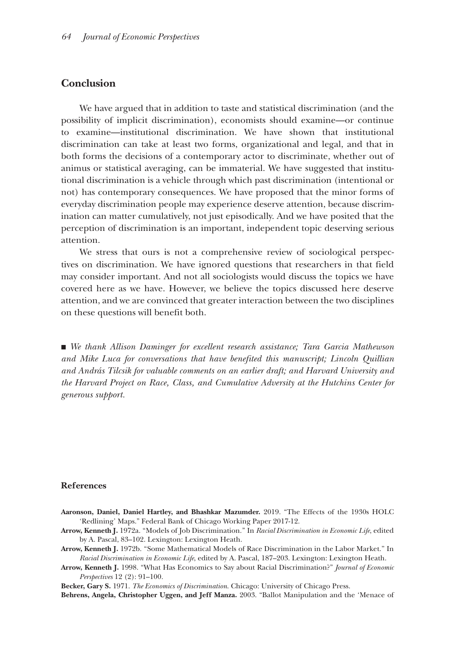#### **Conclusion**

We have argued that in addition to taste and statistical discrimination (and the possibility of implicit discrimination), economists should examine—or continue to examine—institutional discrimination. We have shown that institutional discrimination can take at least two forms, organizational and legal, and that in both forms the decisions of a contemporary actor to discriminate, whether out of animus or statistical averaging, can be immaterial. We have suggested that institutional discrimination is a vehicle through which past discrimination (intentional or not) has contemporary consequences. We have proposed that the minor forms of everyday discrimination people may experience deserve attention, because discrimination can matter cumulatively, not just episodically. And we have posited that the perception of discrimination is an important, independent topic deserving serious attention.

We stress that ours is not a comprehensive review of sociological perspectives on discrimination. We have ignored questions that researchers in that field may consider important. And not all sociologists would discuss the topics we have covered here as we have. However, we believe the topics discussed here deserve attention, and we are convinced that greater interaction between the two disciplines on these questions will benefit both.

■ We thank Allison Daminger for excellent research assistance; Tara Garcia Mathewson *and Mike Luca for conversations that have benefited this manuscript; Lincoln Quillian and András Tilcsik for valuable comments on an earlier draft; and Harvard University and the Harvard Project on Race, Class, and Cumulative Adversity at the Hutchins Center for generous support.* 

#### **References**

- **Aaronson, Daniel, Daniel Hartley, and Bhashkar Mazumder.** 2019. "The Effects of the 1930s HOLC 'Redlining' Maps." Federal Bank of Chicago Working Paper 2017-12.
- **Arrow, Kenneth J.** 1972a. ''Models of Job Discrimination.'' In *Racial Discrimination in Economic Life*, edited by A. Pascal, 83–102. Lexington: Lexington Heath.
- **Arrow, Kenneth J.** 1972b. ''Some Mathematical Models of Race Discrimination in the Labor Market.'' In *Racial Discrimination in Economic Life*, edited by A. Pascal, 187–203. Lexington: Lexington Heath.
- **Arrow, Kenneth J.** 1998. "What Has Economics to Say about Racial Discrimination?" *Journal of Economic Perspectives* 12 (2): 91–100.

**Becker, Gary S.** 1971. *The Economics of Discrimination*. Chicago: University of Chicago Press.

**Behrens, Angela, Christopher Uggen, and Jeff Manza.** 2003. "Ballot Manipulation and the 'Menace of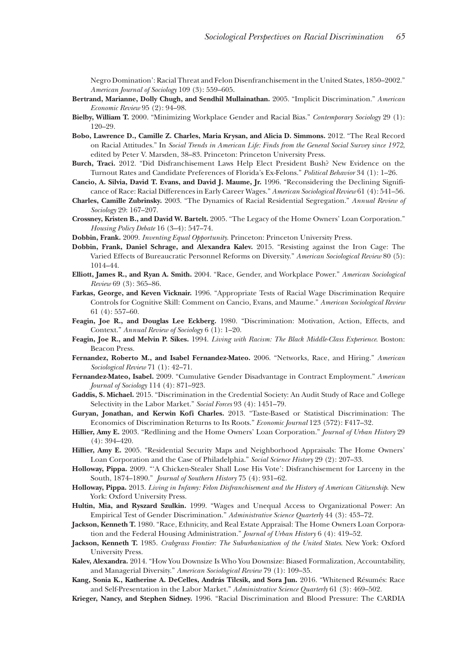Negro Domination': Racial Threat and Felon Disenfranchisement in the United States, 1850–2002." *American Journal of Sociology* 109 (3): 559–605.

- **Bertrand, Marianne, Dolly Chugh, and Sendhil Mullainathan.** 2005. "Implicit Discrimination." *American Economic Review* 95 (2): 94–98.
- **Bielby, William T.** 2000. "Minimizing Workplace Gender and Racial Bias." *Contemporary Sociology* 29 (1): 120–29.
- **Bobo, Lawrence D., Camille Z. Charles, Maria Krysan, and Alicia D. Simmons.** 2012. "The Real Record on Racial Attitudes." In *Social Trends in American Life: Finds from the General Social Survey since 1972*, edited by Peter V. Marsden, 38–83. Princeton: Princeton University Press.
- **Burch, Traci.** 2012. "Did Disfranchisement Laws Help Elect President Bush? New Evidence on the Turnout Rates and Candidate Preferences of Florida's Ex-Felons." *Political Behavior* 34 (1): 1–26.
- **Cancio, A. Silvia, David T. Evans, and David J. Maume, Jr.** 1996. "Reconsidering the Declining Significance of Race: Racial Differences in Early Career Wages." *American Sociological Review* 61 (4): 541–56.
- **Charles, Camille Zubrinsky.** 2003. "The Dynamics of Racial Residential Segregation." *Annual Review of Sociology* 29: 167–207.
- **Crossney, Kristen B., and David W. Bartelt.** 2005. "The Legacy of the Home Owners' Loan Corporation." *Housing Policy Debate* 16 (3–4): 547–74.
- **Dobbin, Frank.** 2009. *Inventing Equal Opportunity*. Princeton: Princeton University Press.
- **Dobbin, Frank, Daniel Schrage, and Alexandra Kalev.** 2015. "Resisting against the Iron Cage: The Varied Effects of Bureaucratic Personnel Reforms on Diversity." *American Sociological Review* 80 (5): 1014–44.
- **Elliott, James R., and Ryan A. Smith.** 2004. "Race, Gender, and Workplace Power." *American Sociological Review* 69 (3): 365–86.
- **Farkas, George, and Keven Vicknair.** 1996. "Appropriate Tests of Racial Wage Discrimination Require Controls for Cognitive Skill: Comment on Cancio, Evans, and Maume." *American Sociological Review* 61 (4): 557–60.
- **Feagin, Joe R., and Douglas Lee Eckberg.** 1980. "Discrimination: Motivation, Action, Effects, and Context." *Annual Review of Sociology* 6 (1): 1–20.
- **Feagin, Joe R., and Melvin P. Sikes.** 1994. *Living with Racism: The Black Middle-Class Experience*. Boston: Beacon Press.
- **Fernandez, Roberto M., and Isabel Fernandez-Mateo.** 2006. "Networks, Race, and Hiring." *American Sociological Review* 71 (1): 42–71.
- **Fernandez-Mateo, Isabel.** 2009. "Cumulative Gender Disadvantage in Contract Employment." *American Journal of Sociology* 114 (4): 871–923.
- **Gaddis, S. Michael.** 2015. "Discrimination in the Credential Society: An Audit Study of Race and College Selectivity in the Labor Market." *Social Forces* 93 (4): 1451–79.
- **Guryan, Jonathan, and Kerwin Kofi Charles.** 2013. "Taste-Based or Statistical Discrimination: The Economics of Discrimination Returns to Its Roots." *Economic Journal* 123 (572): F417–32.
- **Hillier, Amy E.** 2003. "Redlining and the Home Owners' Loan Corporation." *Journal of Urban History* 29 (4): 394–420.
- **Hillier, Amy E.** 2005. "Residential Security Maps and Neighborhood Appraisals: The Home Owners' Loan Corporation and the Case of Philadelphia." *Social Science History* 29 (2): 207–33.
- **Holloway, Pippa.** 2009. "'A Chicken-Stealer Shall Lose His Vote': Disfranchisement for Larceny in the South, 1874–1890." *Journal of Southern History* 75 (4): 931–62.
- **Holloway, Pippa.** 2013. *Living in Infamy: Felon Disfranchisement and the History of American Citizenship*. New York: Oxford University Press.
- **Hultin, Mia, and Ryszard Szulkin.** 1999. "Wages and Unequal Access to Organizational Power: An Empirical Test of Gender Discrimination." *Administrative Science Quarterly* 44 (3): 453–72.
- **Jackson, Kenneth T.** 1980. "Race, Ethnicity, and Real Estate Appraisal: The Home Owners Loan Corporation and the Federal Housing Administration." *Journal of Urban History* 6 (4): 419–52.
- **Jackson, Kenneth T.** 1985. *Crabgrass Frontier: The Suburbanization of the United States*. New York: Oxford University Press.
- **Kalev, Alexandra.** 2014. "How You Downsize Is Who You Downsize: Biased Formalization, Accountability, and Managerial Diversity." *American Sociological Review* 79 (1): 109–35.
- **Kang, Sonia K., Katherine A. DeCelles, András Tilcsik, and Sora Jun.** 2016. "Whitened Résumés: Race and Self-Presentation in the Labor Market." *Administrative Science Quarterly* 61 (3): 469–502.
- **Krieger, Nancy, and Stephen Sidney.** 1996. "Racial Discrimination and Blood Pressure: The CARDIA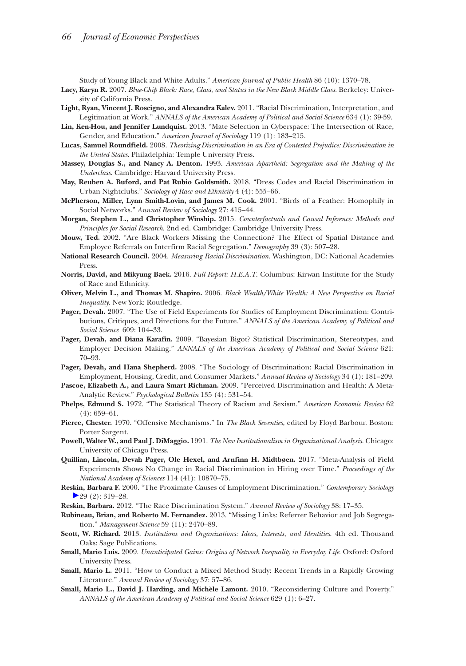Study of Young Black and White Adults." *American Journal of Public Health* 86 (10): 1370–78.

- **Lacy, Karyn R.** 2007. *Blue-Chip Black: Race, Class, and Status in the New Black Middle Class*. Berkeley: University of California Press.
- **Light, Ryan, Vincent J. Roscigno, and Alexandra Kalev.** 2011. "Racial Discrimination, Interpretation, and Legitimation at Work." *ANNALS of the American Academy of Political and Social Science* 634 (1): 39-59.
- **Lin, Ken-Hou, and Jennifer Lundquist.** 2013. "Mate Selection in Cyberspace: The Intersection of Race, Gender, and Education." *American Journal of Sociology* 119 (1): 183–215.
- **Lucas, Samuel Roundfield.** 2008. *Theorizing Discrimination in an Era of Contested Prejudice: Discrimination in the United States*. Philadelphia: Temple University Press.
- **Massey, Douglas S., and Nancy A. Denton.** 1993. *American Apartheid: Segregation and the Making of the Underclass*. Cambridge: Harvard University Press.
- **May, Reuben A. Buford, and Pat Rubio Goldsmith.** 2018. "Dress Codes and Racial Discrimination in Urban Nightclubs." *Sociology of Race and Ethnicity* 4 (4): 555–66.
- **McPherson, Miller, Lynn Smith-Lovin, and James M. Cook.** 2001. "Birds of a Feather: Homophily in Social Networks." *Annual Review of Sociology* 27: 415–44.
- **Morgan, Stephen L., and Christopher Winship.** 2015. *Counterfactuals and Causal Inference: Methods and Principles for Social Research*. 2nd ed. Cambridge: Cambridge University Press.
- **Mouw, Ted.** 2002. "Are Black Workers Missing the Connection? The Effect of Spatial Distance and Employee Referrals on Interfirm Racial Segregation." *Demography* 39 (3): 507–28.
- **National Research Council.** 2004. *Measuring Racial Discrimination*. Washington, DC: National Academies Press.
- **Norris, David, and Mikyung Baek.** 2016. *Full Report: H.E.A.T*. Columbus: Kirwan Institute for the Study of Race and Ethnicity.
- **Oliver, Melvin L., and Thomas M. Shapiro.** 2006. *Black Wealth/White Wealth: A New Perspective on Racial Inequality*. New York: Routledge.
- **Pager, Devah.** 2007. "The Use of Field Experiments for Studies of Employment Discrimination: Contributions, Critiques, and Directions for the Future." *ANNALS of the American Academy of Political and Social Science* 609: 104–33.
- **Pager, Devah, and Diana Karafin.** 2009. "Bayesian Bigot? Statistical Discrimination, Stereotypes, and Employer Decision Making." *ANNALS of the American Academy of Political and Social Science* 621: 70–93.
- **Pager, Devah, and Hana Shepherd.** 2008. "The Sociology of Discrimination: Racial Discrimination in Employment, Housing, Credit, and Consumer Markets." *Annual Review of Sociology* 34 (1): 181–209.
- **Pascoe, Elizabeth A., and Laura Smart Richman.** 2009. "Perceived Discrimination and Health: A Meta-Analytic Review." *Psychological Bulletin* 135 (4): 531–54.
- **Phelps, Edmund S.** 1972. "The Statistical Theory of Racism and Sexism." *American Economic Review* 62 (4): 659–61.
- **Pierce, Chester.** 1970. "Offensive Mechanisms." In *The Black Seventies*, edited by Floyd Barbour. Boston: Porter Sargent.
- **Powell, Walter W., and Paul J. DiMaggio.** 1991. *The New Institutionalism in Organizational Analysis*. Chicago: University of Chicago Press.
- **Quillian, Lincoln, Devah Pager, Ole Hexel, and Arnfinn H. Midtbøen.** 2017. "Meta-Analysis of Field Experiments Shows No Change in Racial Discrimination in Hiring over Time." *Proceedings of the National Academy of Sciences* 114 (41): 10870–75.
- **Reskin, Barbara F.** 2000. "The Proximate Causes of Employment Discrimination." *Contemporary Sociology*  $\geq$  [2](http://pubs.aeaweb.org/action/showLinks?crossref=10.1146%2Fannurev-soc-071811-145508&citationId=p_60)9 (2): 319–28.
- **Reskin, Barbara.** 2012. "The Race Discrimination System." *Annual Review of Sociology* 38: 17–35.
- **Rubineau, Brian, and Roberto M. Fernandez.** 2013. "Missing Links: Referrer Behavior and Job Segregation." *Management Science* 59 (11): 2470–89.
- **Scott, W. Richard.** 2013. *Institutions and Organizations: Ideas, Interests, and Identities*. 4th ed. Thousand Oaks: Sage Publications.
- **Small, Mario Luis.** 2009. *Unanticipated Gains: Origins of Network Inequality in Everyday Life*. Oxford: Oxford University Press.
- **Small, Mario L.** 2011. "How to Conduct a Mixed Method Study: Recent Trends in a Rapidly Growing Literature." *Annual Review of Sociology* 37: 57–86.
- **Small, Mario L., David J. Harding, and Michèle Lamont.** 2010. "Reconsidering Culture and Poverty." *ANNALS of the American Academy of Political and Social Science* 629 (1): 6–27.